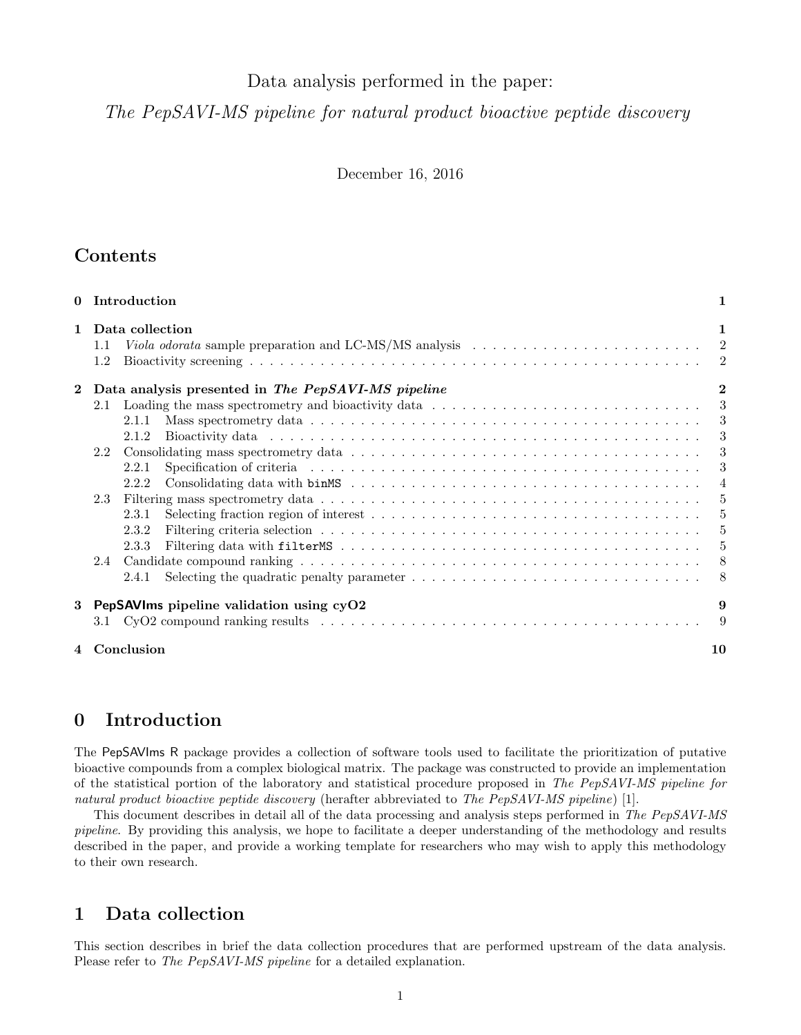# Data analysis performed in the paper:

The PepSAVI-MS pipeline for natural product bioactive peptide discovery

December 16, 2016

# Contents

| 0            | Introduction                                                                                                                                                                                                                            | 1                        |
|--------------|-----------------------------------------------------------------------------------------------------------------------------------------------------------------------------------------------------------------------------------------|--------------------------|
| $\mathbf{1}$ | Data collection<br>Viola odorata sample preparation and LC-MS/MS analysis $\ldots \ldots \ldots \ldots \ldots \ldots \ldots \ldots$<br>$1.1\,$<br>1.2                                                                                   | 1                        |
| $\mathbf 2$  | Data analysis presented in The PepSAVI-MS pipeline                                                                                                                                                                                      | $\mathbf{2}$             |
|              | Loading the mass spectrometry and bioactivity data<br>2.1                                                                                                                                                                               | - 3                      |
|              | 2.1.1                                                                                                                                                                                                                                   | - 3                      |
|              | Bioactivity data in the contract of the contract of the contract of the contract of the contract of the contract of the contract of the contract of the contract of the contract of the contract of the contract of the contra<br>2.1.2 | $\overline{\phantom{a}}$ |
|              | $2.2^{\circ}$                                                                                                                                                                                                                           | - 3                      |
|              | Specification of criteria (a) is a series of the series of the series of the series of the series of the series of the series of the series of the series of the series of the series of the series of the series of the serie<br>2.2.1 | -3                       |
|              | 2.2.2                                                                                                                                                                                                                                   | $\overline{4}$           |
|              | 2.3                                                                                                                                                                                                                                     | -5                       |
|              | 2.3.1                                                                                                                                                                                                                                   | $-5$                     |
|              | 2.3.2                                                                                                                                                                                                                                   | $-5$                     |
|              | 2.3.3                                                                                                                                                                                                                                   | - 5                      |
|              | 2.4                                                                                                                                                                                                                                     | 8 <sup>8</sup>           |
|              | Selecting the quadratic penalty parameter $\dots \dots \dots \dots \dots \dots \dots \dots \dots \dots \dots \dots$<br>2.4.1                                                                                                            |                          |
| 3            | PepSAVIms pipeline validation using cyO2                                                                                                                                                                                                | 9                        |
|              | 3.1                                                                                                                                                                                                                                     | -9                       |
|              | 4 Conclusion                                                                                                                                                                                                                            | 10                       |

# <span id="page-0-0"></span>0 Introduction

The PepSAVIms R package provides a collection of software tools used to facilitate the prioritization of putative bioactive compounds from a complex biological matrix. The package was constructed to provide an implementation of the statistical portion of the laboratory and statistical procedure proposed in The PepSAVI-MS pipeline for natural product bioactive peptide discovery (herafter abbreviated to The PepSAVI-MS pipeline) [\[1\]](#page-9-1).

This document describes in detail all of the data processing and analysis steps performed in The PepSAVI-MS pipeline. By providing this analysis, we hope to facilitate a deeper understanding of the methodology and results described in the paper, and provide a working template for researchers who may wish to apply this methodology to their own research.

# <span id="page-0-1"></span>1 Data collection

This section describes in brief the data collection procedures that are performed upstream of the data analysis. Please refer to *The PepSAVI-MS pipeline* for a detailed explanation.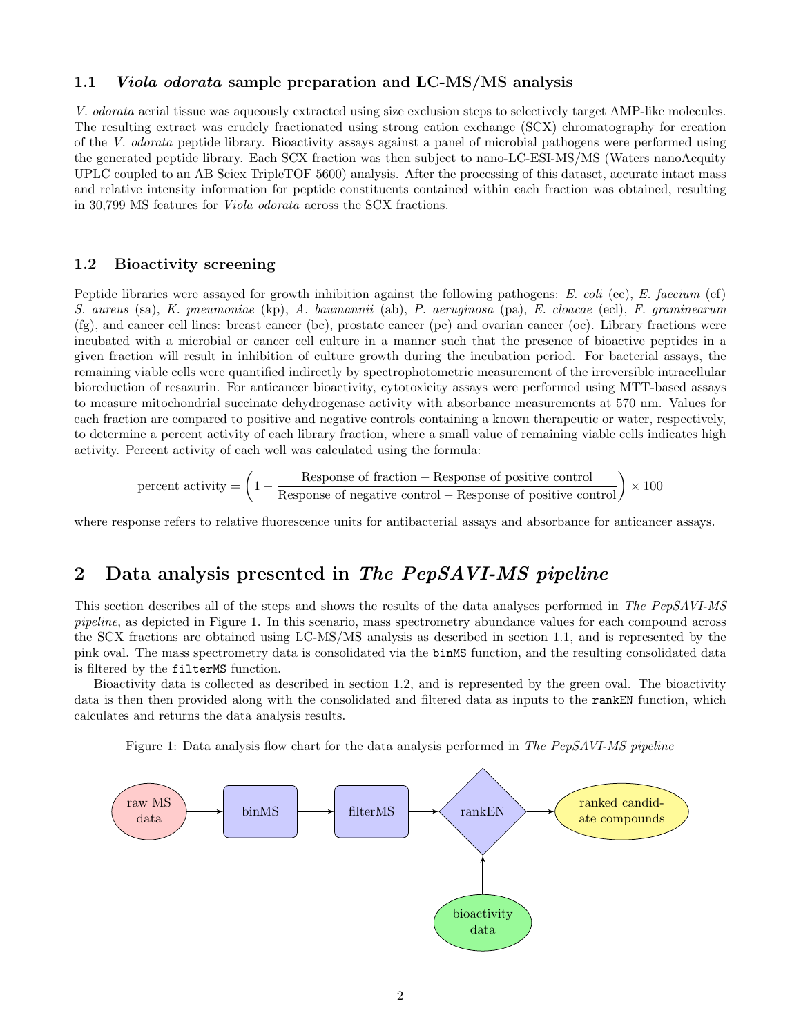## <span id="page-1-0"></span>1.1 Viola odorata sample preparation and LC-MS/MS analysis

V. odorata aerial tissue was aqueously extracted using size exclusion steps to selectively target AMP-like molecules. The resulting extract was crudely fractionated using strong cation exchange (SCX) chromatography for creation of the V. odorata peptide library. Bioactivity assays against a panel of microbial pathogens were performed using the generated peptide library. Each SCX fraction was then subject to nano-LC-ESI-MS/MS (Waters nanoAcquity UPLC coupled to an AB Sciex TripleTOF 5600) analysis. After the processing of this dataset, accurate intact mass and relative intensity information for peptide constituents contained within each fraction was obtained, resulting in 30,799 MS features for Viola odorata across the SCX fractions.

## <span id="page-1-1"></span>1.2 Bioactivity screening

Peptide libraries were assayed for growth inhibition against the following pathogens: E. coli (ec), E. faecium (ef) S. aureus (sa), K. pneumoniae (kp), A. baumannii (ab), P. aeruginosa (pa), E. cloacae (ecl), F. graminearum (fg), and cancer cell lines: breast cancer (bc), prostate cancer (pc) and ovarian cancer (oc). Library fractions were incubated with a microbial or cancer cell culture in a manner such that the presence of bioactive peptides in a given fraction will result in inhibition of culture growth during the incubation period. For bacterial assays, the remaining viable cells were quantified indirectly by spectrophotometric measurement of the irreversible intracellular bioreduction of resazurin. For anticancer bioactivity, cytotoxicity assays were performed using MTT-based assays to measure mitochondrial succinate dehydrogenase activity with absorbance measurements at 570 nm. Values for each fraction are compared to positive and negative controls containing a known therapeutic or water, respectively, to determine a percent activity of each library fraction, where a small value of remaining viable cells indicates high activity. Percent activity of each well was calculated using the formula:

percent activity = 
$$
\left(1 - \frac{\text{Response of fraction} - \text{Response of positive control}}{\text{Response of negative control} - \text{Response of positive control}}\right) \times 100
$$

where response refers to relative fluorescence units for antibacterial assays and absorbance for anticancer assays.

## <span id="page-1-2"></span>2 Data analysis presented in The PepSAVI-MS pipeline

This section describes all of the steps and shows the results of the data analyses performed in The PepSAVI-MS pipeline, as depicted in Figure [1.](#page-1-3) In this scenario, mass spectrometry abundance values for each compound across the SCX fractions are obtained using LC-MS/MS analysis as described in section [1.1,](#page-1-0) and is represented by the pink oval. The mass spectrometry data is consolidated via the binMS function, and the resulting consolidated data is filtered by the filterMS function.

Bioactivity data is collected as described in section [1.2,](#page-1-1) and is represented by the green oval. The bioactivity data is then then provided along with the consolidated and filtered data as inputs to the rankEN function, which calculates and returns the data analysis results.

Figure 1: Data analysis flow chart for the data analysis performed in The PepSAVI-MS pipeline

<span id="page-1-3"></span>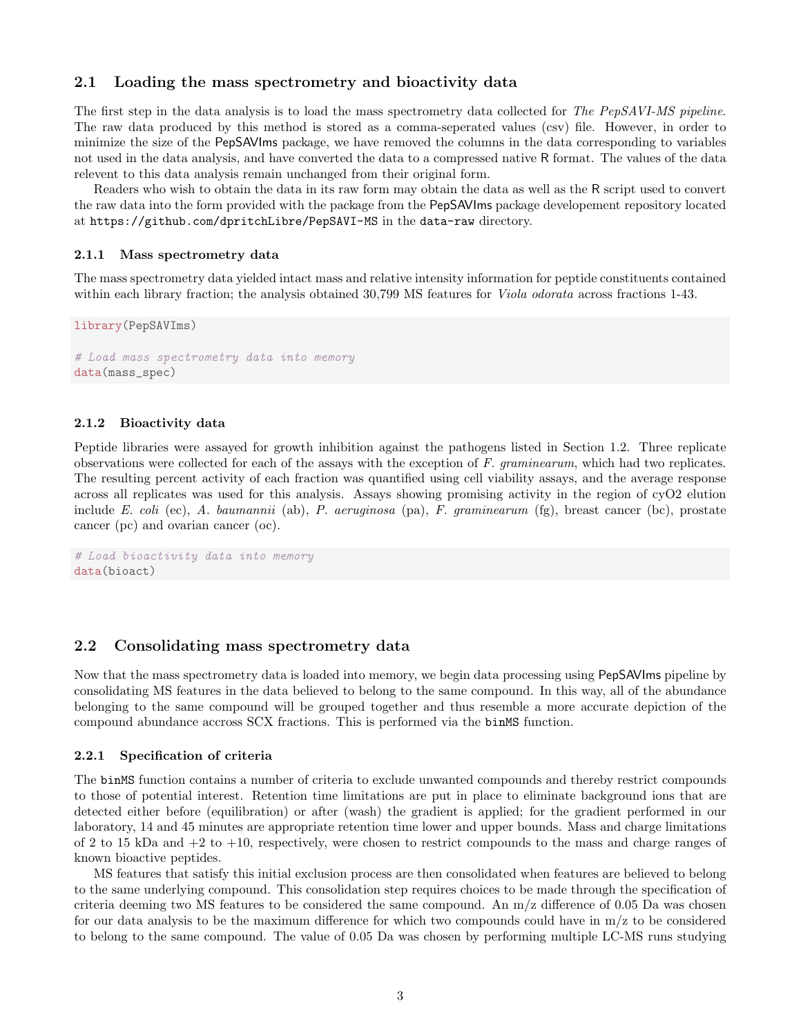## <span id="page-2-0"></span>2.1 Loading the mass spectrometry and bioactivity data

The first step in the data analysis is to load the mass spectrometry data collected for The PepSAVI-MS pipeline. The raw data produced by this method is stored as a comma-seperated values (csv) file. However, in order to minimize the size of the PepSAVIms package, we have removed the columns in the data corresponding to variables not used in the data analysis, and have converted the data to a compressed native R format. The values of the data relevent to this data analysis remain unchanged from their original form.

Readers who wish to obtain the data in its raw form may obtain the data as well as the R script used to convert the raw data into the form provided with the package from the PepSAVIms package developement repository located at <https://github.com/dpritchLibre/PepSAVI-MS> in the data-raw directory.

#### <span id="page-2-1"></span>2.1.1 Mass spectrometry data

The mass spectrometry data yielded intact mass and relative intensity information for peptide constituents contained within each library fraction; the analysis obtained 30,799 MS features for *Viola odorata* across fractions 1-43.

```
library(PepSAVIms)
# Load mass spectrometry data into memory
data(mass_spec)
```
#### <span id="page-2-2"></span>2.1.2 Bioactivity data

Peptide libraries were assayed for growth inhibition against the pathogens listed in Section [1.2.](#page-1-1) Three replicate observations were collected for each of the assays with the exception of  $F.$  graminearum, which had two replicates. The resulting percent activity of each fraction was quantified using cell viability assays, and the average response across all replicates was used for this analysis. Assays showing promising activity in the region of cyO2 elution include E. coli (ec), A. baumannii (ab), P. aeruginosa (pa), F. graminearum (fg), breast cancer (bc), prostate cancer (pc) and ovarian cancer (oc).

```
# Load bioactivity data into memory
data(bioact)
```
## <span id="page-2-3"></span>2.2 Consolidating mass spectrometry data

Now that the mass spectrometry data is loaded into memory, we begin data processing using PepSAVIms pipeline by consolidating MS features in the data believed to belong to the same compound. In this way, all of the abundance belonging to the same compound will be grouped together and thus resemble a more accurate depiction of the compound abundance accross SCX fractions. This is performed via the binMS function.

#### <span id="page-2-4"></span>2.2.1 Specification of criteria

The binMS function contains a number of criteria to exclude unwanted compounds and thereby restrict compounds to those of potential interest. Retention time limitations are put in place to eliminate background ions that are detected either before (equilibration) or after (wash) the gradient is applied; for the gradient performed in our laboratory, 14 and 45 minutes are appropriate retention time lower and upper bounds. Mass and charge limitations of 2 to 15 kDa and +2 to +10, respectively, were chosen to restrict compounds to the mass and charge ranges of known bioactive peptides.

MS features that satisfy this initial exclusion process are then consolidated when features are believed to belong to the same underlying compound. This consolidation step requires choices to be made through the specification of criteria deeming two MS features to be considered the same compound. An  $m/z$  difference of 0.05 Da was chosen for our data analysis to be the maximum difference for which two compounds could have in m/z to be considered to belong to the same compound. The value of 0.05 Da was chosen by performing multiple LC-MS runs studying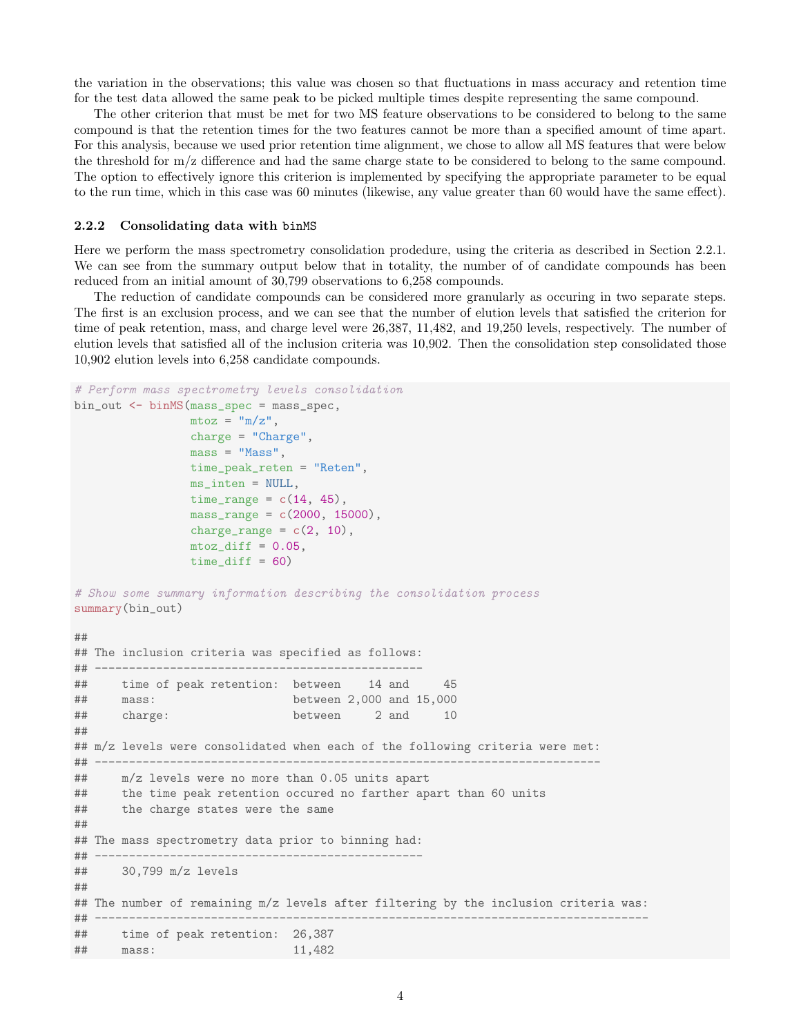the variation in the observations; this value was chosen so that fluctuations in mass accuracy and retention time for the test data allowed the same peak to be picked multiple times despite representing the same compound.

The other criterion that must be met for two MS feature observations to be considered to belong to the same compound is that the retention times for the two features cannot be more than a specified amount of time apart. For this analysis, because we used prior retention time alignment, we chose to allow all MS features that were below the threshold for m/z difference and had the same charge state to be considered to belong to the same compound. The option to effectively ignore this criterion is implemented by specifying the appropriate parameter to be equal to the run time, which in this case was 60 minutes (likewise, any value greater than 60 would have the same effect).

#### <span id="page-3-0"></span>2.2.2 Consolidating data with binMS

Here we perform the mass spectrometry consolidation prodedure, using the criteria as described in Section [2.2.1.](#page-2-4) We can see from the summary output below that in totality, the number of of candidate compounds has been reduced from an initial amount of 30,799 observations to 6,258 compounds.

The reduction of candidate compounds can be considered more granularly as occuring in two separate steps. The first is an exclusion process, and we can see that the number of elution levels that satisfied the criterion for time of peak retention, mass, and charge level were 26,387, 11,482, and 19,250 levels, respectively. The number of elution levels that satisfied all of the inclusion criteria was 10,902. Then the consolidation step consolidated those 10,902 elution levels into 6,258 candidate compounds.

```
# Perform mass spectrometry levels consolidation
bin_out <- binMS(mass_spec = mass_spec,
                m\text{toz} = \text{m}/\text{z}",
                charge = "Charge",
                mass = "Mass",time_peak_reten = "Reten",
                ms_inten = NULL,
                time_range = c(14, 45),
                mass_range = c(2000, 15000),
                charge_range = c(2, 10),
                mtoz_diff = 0.05,
                time\_diff = 60# Show some summary information describing the consolidation process
summary(bin_out)
##
## The inclusion criteria was specified as follows:
## ------------------------------------------------
## time of peak retention: between 14 and 45
## mass: between 2,000 and 15,000
## charge: between 2 and 10
##
## m/z levels were consolidated when each of the following criteria were met:
## --------------------------------------------------------------------------
## m/z levels were no more than 0.05 units apart
## the time peak retention occured no farther apart than 60 units
## the charge states were the same
##
## The mass spectrometry data prior to binning had:
## ------------------------------------------------
## 30,799 m/z levels
##
## The number of remaining m/z levels after filtering by the inclusion criteria was:
## -----------------------------------
## time of peak retention: 26,387
## mass: 11,482
```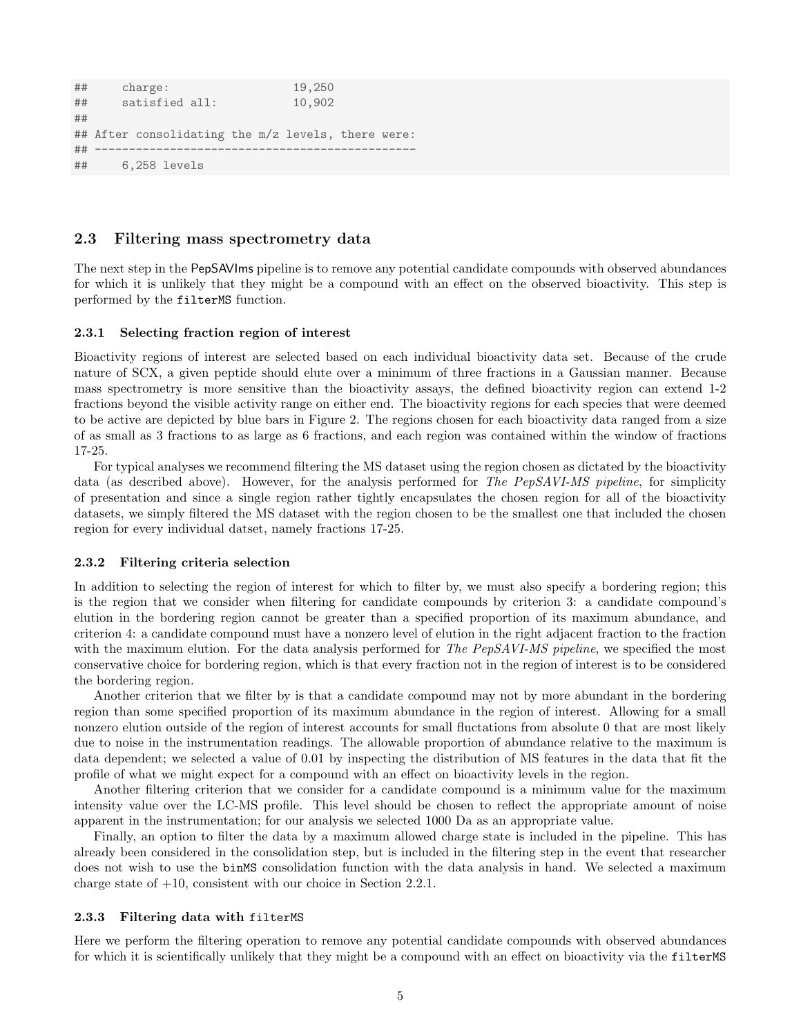```
## charge: 19,250
## satisfied all: 10,902
##
## After consolidating the m/z levels, there were:
## -----------------------------------------------
## 6,258 levels
```
### <span id="page-4-0"></span>2.3 Filtering mass spectrometry data

The next step in the PepSAVIms pipeline is to remove any potential candidate compounds with observed abundances for which it is unlikely that they might be a compound with an effect on the observed bioactivity. This step is performed by the filterMS function.

#### <span id="page-4-1"></span>2.3.1 Selecting fraction region of interest

Bioactivity regions of interest are selected based on each individual bioactivity data set. Because of the crude nature of SCX, a given peptide should elute over a minimum of three fractions in a Gaussian manner. Because mass spectrometry is more sensitive than the bioactivity assays, the defined bioactivity region can extend 1-2 fractions beyond the visible activity range on either end. The bioactivity regions for each species that were deemed to be active are depicted by blue bars in Figure [2.](#page-5-0) The regions chosen for each bioactivity data ranged from a size of as small as 3 fractions to as large as 6 fractions, and each region was contained within the window of fractions 17-25.

For typical analyses we recommend filtering the MS dataset using the region chosen as dictated by the bioactivity data (as described above). However, for the analysis performed for The PepSAVI-MS pipeline, for simplicity of presentation and since a single region rather tightly encapsulates the chosen region for all of the bioactivity datasets, we simply filtered the MS dataset with the region chosen to be the smallest one that included the chosen region for every individual datset, namely fractions 17-25.

#### <span id="page-4-2"></span>2.3.2 Filtering criteria selection

In addition to selecting the region of interest for which to filter by, we must also specify a bordering region; this is the region that we consider when filtering for candidate compounds by criterion 3: a candidate compound's elution in the bordering region cannot be greater than a specified proportion of its maximum abundance, and criterion 4: a candidate compound must have a nonzero level of elution in the right adjacent fraction to the fraction with the maximum elution. For the data analysis performed for The PepSAVI-MS pipeline, we specified the most conservative choice for bordering region, which is that every fraction not in the region of interest is to be considered the bordering region.

Another criterion that we filter by is that a candidate compound may not by more abundant in the bordering region than some specified proportion of its maximum abundance in the region of interest. Allowing for a small nonzero elution outside of the region of interest accounts for small fluctations from absolute 0 that are most likely due to noise in the instrumentation readings. The allowable proportion of abundance relative to the maximum is data dependent; we selected a value of 0.01 by inspecting the distribution of MS features in the data that fit the profile of what we might expect for a compound with an effect on bioactivity levels in the region.

Another filtering criterion that we consider for a candidate compound is a minimum value for the maximum intensity value over the LC-MS profile. This level should be chosen to reflect the appropriate amount of noise apparent in the instrumentation; for our analysis we selected 1000 Da as an appropriate value.

Finally, an option to filter the data by a maximum allowed charge state is included in the pipeline. This has already been considered in the consolidation step, but is included in the filtering step in the event that researcher does not wish to use the binMS consolidation function with the data analysis in hand. We selected a maximum charge state of  $+10$ , consistent with our choice in Section [2.2.1.](#page-2-4)

#### <span id="page-4-3"></span>2.3.3 Filtering data with filterMS

Here we perform the filtering operation to remove any potential candidate compounds with observed abundances for which it is scientifically unlikely that they might be a compound with an effect on bioactivity via the filterMS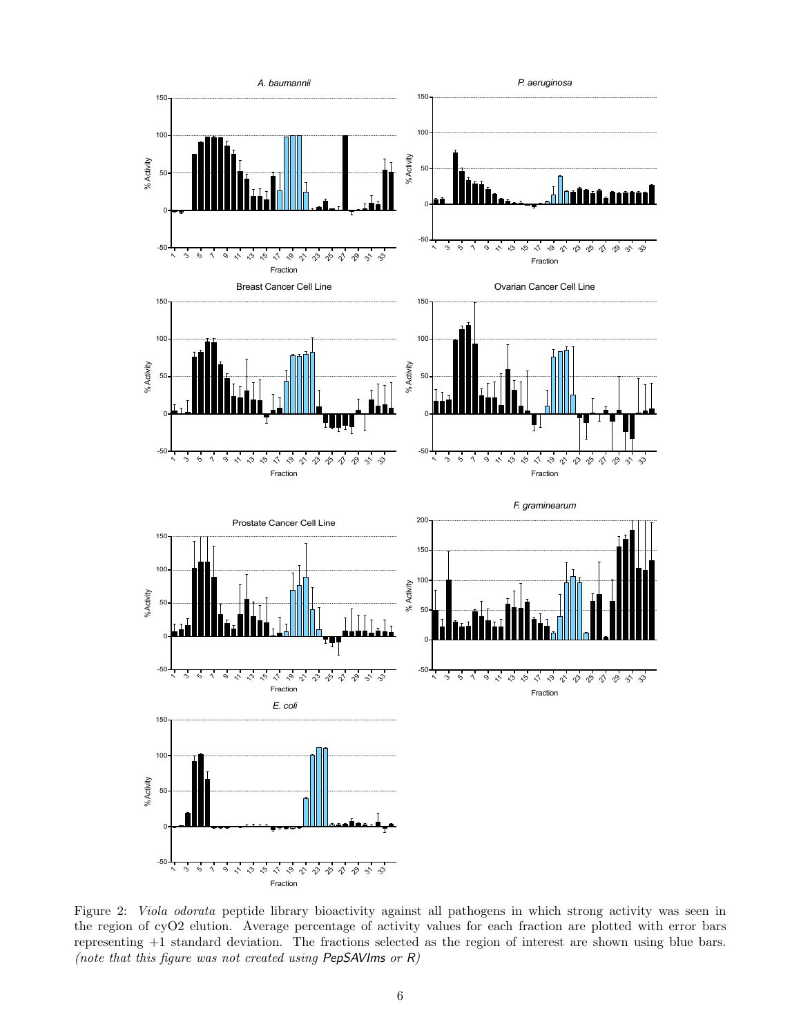<span id="page-5-0"></span>

Figure 2: Viola odorata peptide library bioactivity against all pathogens in which strong activity was seen in the region of cyO2 elution. Average percentage of activity values for each fraction are plotted with error bars representing +1 standard deviation. The fractions selected as the region of interest are shown using blue bars. (note that this figure was not created using PepSAVIms or R)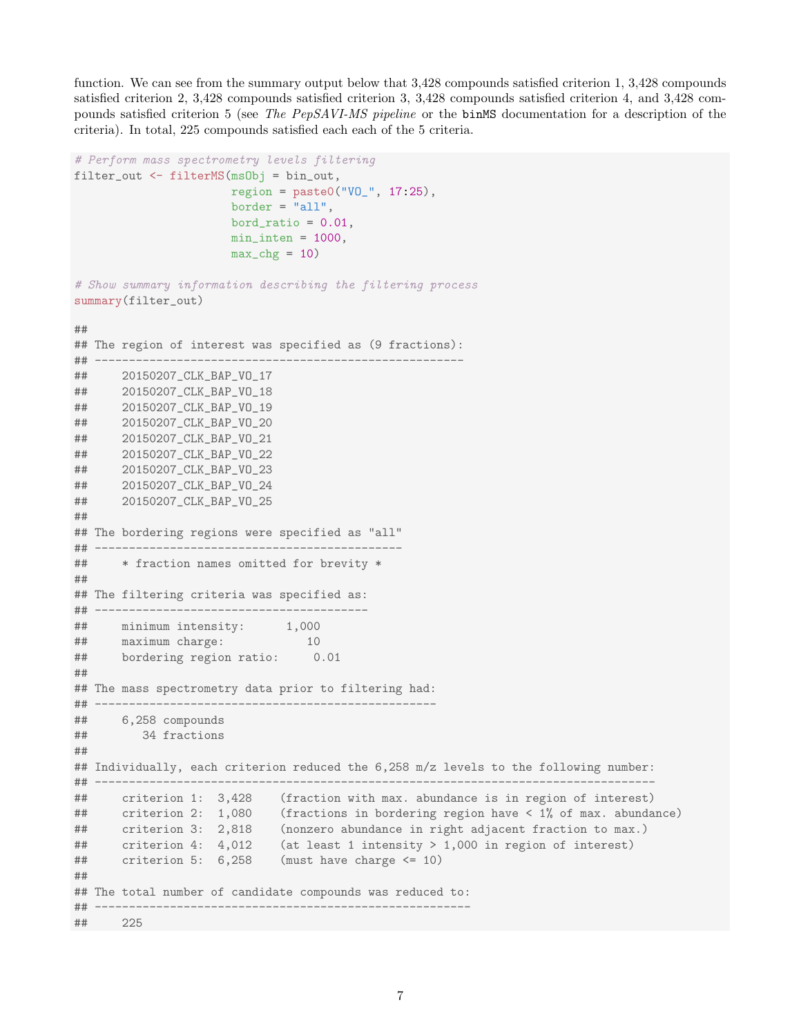function. We can see from the summary output below that 3,428 compounds satisfied criterion 1, 3,428 compounds satisfied criterion 2, 3,428 compounds satisfied criterion 3, 3,428 compounds satisfied criterion 4, and 3,428 compounds satisfied criterion 5 (see The PepSAVI-MS pipeline or the binMS documentation for a description of the criteria). In total, 225 compounds satisfied each each of the 5 criteria.

```
# Perform mass spectrometry levels filtering
filter_out <- filterMS(msObj = bin_out,
                      region = paste0("V0" , 17:25),
                      border = "all",
                      bord_ratio = 0.01,
                      min\_inten = 1000,
                      max_c hg = 10# Show summary information describing the filtering process
summary(filter_out)
##
## The region of interest was specified as (9 fractions):
## ------------------------------------------------------
## 20150207_CLK_BAP_VO_17
## 20150207_CLK_BAP_VO_18
## 20150207_CLK_BAP_VO_19
## 20150207_CLK_BAP_VO_20
## 20150207_CLK_BAP_VO_21
## 20150207_CLK_BAP_VO_22
## 20150207_CLK_BAP_VO_23
## 20150207_CLK_BAP_VO_24
## 20150207_CLK_BAP_VO_25
##
## The bordering regions were specified as "all"
## ---------------------------------------------
## * fraction names omitted for brevity *
##
## The filtering criteria was specified as:
## ----------------------------------------
## minimum intensity: 1,000
## maximum charge: 10
## bordering region ratio: 0.01
##
## The mass spectrometry data prior to filtering had:
## --------------------------------------------------
## 6,258 compounds
## 34 fractions
##
## Individually, each criterion reduced the 6,258 m/z levels to the following number:
## ----------------------------------------------------------------------------------
## criterion 1: 3,428 (fraction with max. abundance is in region of interest)
## criterion 2: 1,080 (fractions in bordering region have < 1% of max. abundance)
## criterion 3: 2,818 (nonzero abundance in right adjacent fraction to max.)
## criterion 4: 4,012 (at least 1 intensity > 1,000 in region of interest)
## criterion 5: 6,258 (must have charge <= 10)
##
## The total number of candidate compounds was reduced to:
## -------------------------------------------------------
## 225
```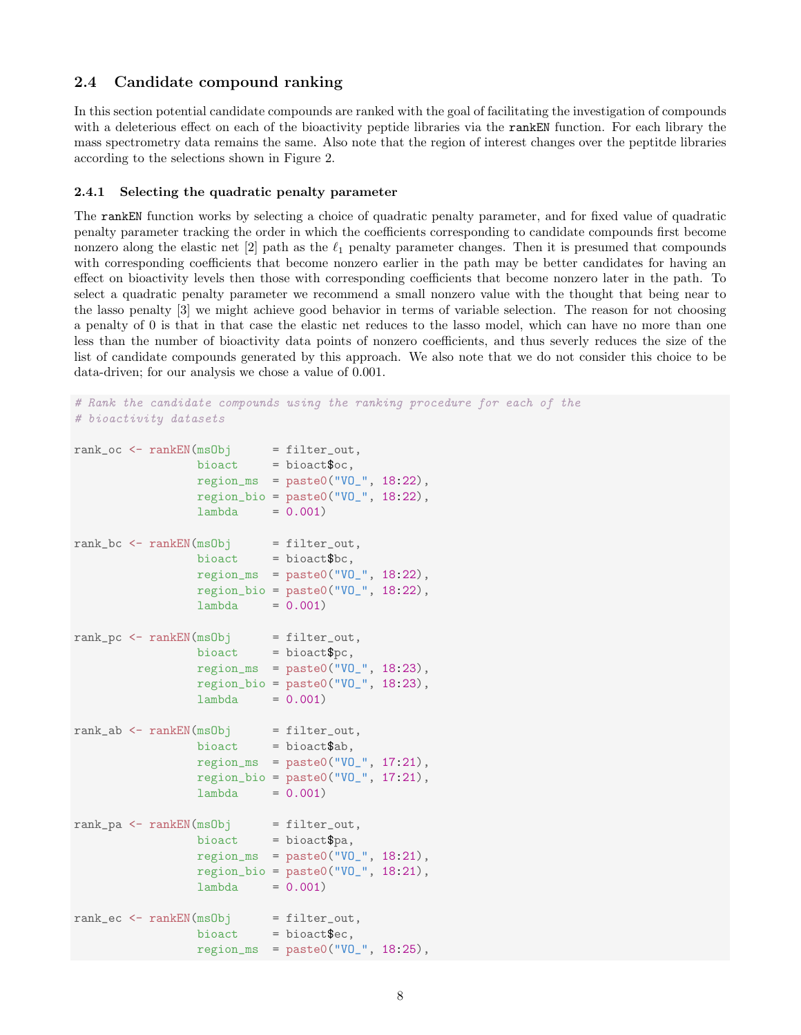## <span id="page-7-0"></span>2.4 Candidate compound ranking

In this section potential candidate compounds are ranked with the goal of facilitating the investigation of compounds with a deleterious effect on each of the bioactivity peptide libraries via the rankEN function. For each library the mass spectrometry data remains the same. Also note that the region of interest changes over the peptitde libraries according to the selections shown in Figure [2.](#page-5-0)

#### <span id="page-7-1"></span>2.4.1 Selecting the quadratic penalty parameter

The rankEN function works by selecting a choice of quadratic penalty parameter, and for fixed value of quadratic penalty parameter tracking the order in which the coefficients corresponding to candidate compounds first become nonzero along the elastic net  $\lbrack 2 \rbrack$  path as the  $\ell_1$  penalty parameter changes. Then it is presumed that compounds with corresponding coefficients that become nonzero earlier in the path may be better candidates for having an effect on bioactivity levels then those with corresponding coefficients that become nonzero later in the path. To select a quadratic penalty parameter we recommend a small nonzero value with the thought that being near to the lasso penalty [\[3\]](#page-9-3) we might achieve good behavior in terms of variable selection. The reason for not choosing a penalty of 0 is that in that case the elastic net reduces to the lasso model, which can have no more than one less than the number of bioactivity data points of nonzero coefficients, and thus severly reduces the size of the list of candidate compounds generated by this approach. We also note that we do not consider this choice to be data-driven; for our analysis we chose a value of 0.001.

```
# Rank the candidate compounds using the ranking procedure for each of the
# bioactivity datasets
rank\_oc \leq rankEN(msgObj \qquad = filter\_out,bioact = bioact;
                region_m s = paste0("V0" , 18:22),
                 region_bio = paste0("VO_", 18:22),
                lambda = 0.001)rank_bc <- rankEN(msObj = filter_out,
                 bioact = bioact$bc,
                region_{ms} = paste0("V0" , 18:22),region\_bio = paste0("V0" , 18:22),
                 lambda = 0.001rank_pc <- rankEN(msObj = filter_out,
                 bioact = bioact$pc,
                 region_{ms} = paste0("V0" , 18:23),region\_bio = paste0("V0" , 18:23),
                 lambda = 0.001rank_ab <- rankEN(ms0bj = filter_out,
                bioact = bioact$ab,
                 region_m s = paste0("V0" , 17:21),
                 region\_bio = paste0("VO", 17:21),
                 lambda = 0.001)rank_p a \leq rankEN(msgObj \qquad = filter_out,bioact = bioact$pa,
                 regionms = paste0("V0", 18:21),
                 region\_bio = paste0("V0" , 18:21),
                 lambda = 0.001rank_ec <- rankEN(msObj = filter_out,
                 bioact = bioact;
                 region_m s = paste0("V0" , 18:25),
```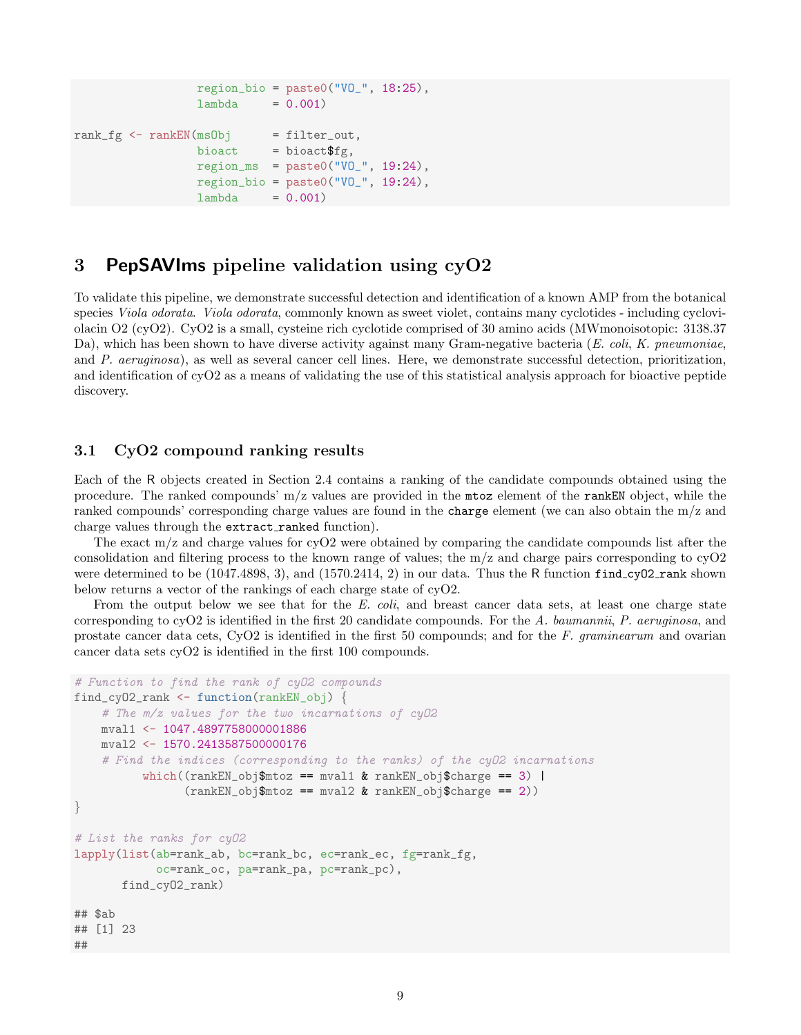```
region\_bio = paste0("VO." 18:25),lambda = 0.001rank_f g \leftarrow rankEN(msObj \qquad = filter\_out,bioact = bioact$fg,
                  region_m s = paste0("V0" , 19:24),
                  region\_bio = paste0("V0" , 19:24),
                  lambda = 0.001)
```
# <span id="page-8-0"></span>3 PepSAVIms pipeline validation using cyO2

To validate this pipeline, we demonstrate successful detection and identification of a known AMP from the botanical species *Viola odorata. Viola odorata*, commonly known as sweet violet, contains many cyclotides - including cycloviolacin O2 (cyO2). CyO2 is a small, cysteine rich cyclotide comprised of 30 amino acids (MWmonoisotopic: 3138.37 Da), which has been shown to have diverse activity against many Gram-negative bacteria  $(E. \text{ coli}, K. \text{preumoniae}$ , and P. aeruginosa), as well as several cancer cell lines. Here, we demonstrate successful detection, prioritization, and identification of cyO2 as a means of validating the use of this statistical analysis approach for bioactive peptide discovery.

## <span id="page-8-1"></span>3.1 CyO2 compound ranking results

Each of the R objects created in Section [2.4](#page-7-0) contains a ranking of the candidate compounds obtained using the procedure. The ranked compounds' m/z values are provided in the mtoz element of the rankEN object, while the ranked compounds' corresponding charge values are found in the charge element (we can also obtain the m/z and charge values through the extract\_ranked function).

The exact m/z and charge values for cyO2 were obtained by comparing the candidate compounds list after the consolidation and filtering process to the known range of values; the m/z and charge pairs corresponding to cyO2 were determined to be (1047.4898, 3), and (1570.2414, 2) in our data. Thus the R function find\_cy02\_rank shown below returns a vector of the rankings of each charge state of cyO2.

From the output below we see that for the E. coli, and breast cancer data sets, at least one charge state corresponding to  $\text{cvO2}$  is identified in the first 20 candidate compounds. For the A. baumannii, P. aeruginosa, and prostate cancer data cets, CyO2 is identified in the first 50 compounds; and for the F. graminearum and ovarian cancer data sets cyO2 is identified in the first 100 compounds.

```
# Function to find the rank of cyO2 compounds
find_cyO2_rank <- function(rankEN_obj) {
    # The m/z values for the two incarnations of cyO2
   mval1 <- 1047.4897758000001886
    mval2 <- 1570.2413587500000176
    # Find the indices (corresponding to the ranks) of the cyO2 incarnations
          which((rankEN_obj$mtoz == mval1 & rankEN_obj$charge == 3) |
                (rankEN_obj$mtoz == mval2 & rankEN_obj$charge == 2))
}
# List the ranks for cyO2
lapply(list(ab=rank_ab, bc=rank_bc, ec=rank_ec, fg=rank_fg,
            oc=rank_oc, pa=rank_pa, pc=rank_pc),
       find_cyO2_rank)
## $ab
## [1] 23
##
```